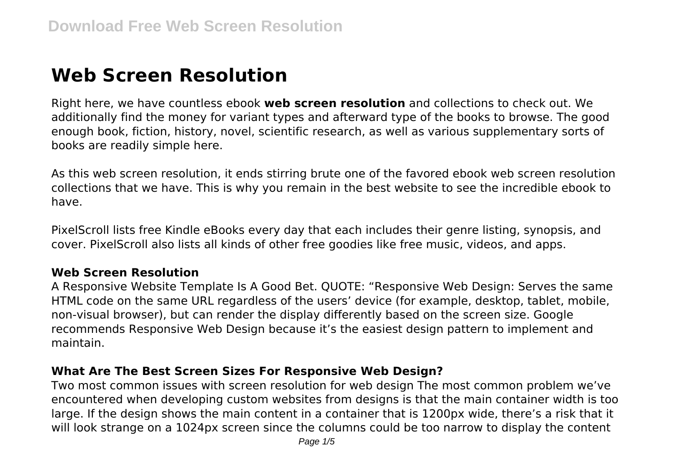# **Web Screen Resolution**

Right here, we have countless ebook **web screen resolution** and collections to check out. We additionally find the money for variant types and afterward type of the books to browse. The good enough book, fiction, history, novel, scientific research, as well as various supplementary sorts of books are readily simple here.

As this web screen resolution, it ends stirring brute one of the favored ebook web screen resolution collections that we have. This is why you remain in the best website to see the incredible ebook to have.

PixelScroll lists free Kindle eBooks every day that each includes their genre listing, synopsis, and cover. PixelScroll also lists all kinds of other free goodies like free music, videos, and apps.

## **Web Screen Resolution**

A Responsive Website Template Is A Good Bet. QUOTE: "Responsive Web Design: Serves the same HTML code on the same URL regardless of the users' device (for example, desktop, tablet, mobile, non-visual browser), but can render the display differently based on the screen size. Google recommends Responsive Web Design because it's the easiest design pattern to implement and maintain.

## **What Are The Best Screen Sizes For Responsive Web Design?**

Two most common issues with screen resolution for web design The most common problem we've encountered when developing custom websites from designs is that the main container width is too large. If the design shows the main content in a container that is 1200px wide, there's a risk that it will look strange on a 1024px screen since the columns could be too narrow to display the content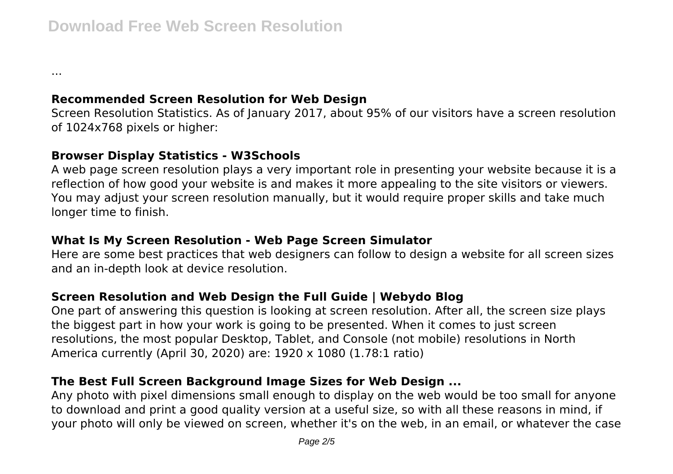**Recommended Screen Resolution for Web Design**

Screen Resolution Statistics. As of January 2017, about 95% of our visitors have a screen resolution of 1024x768 pixels or higher:

#### **Browser Display Statistics - W3Schools**

...

A web page screen resolution plays a very important role in presenting your website because it is a reflection of how good your website is and makes it more appealing to the site visitors or viewers. You may adjust your screen resolution manually, but it would require proper skills and take much longer time to finish.

## **What Is My Screen Resolution - Web Page Screen Simulator**

Here are some best practices that web designers can follow to design a website for all screen sizes and an in-depth look at device resolution.

# **Screen Resolution and Web Design the Full Guide | Webydo Blog**

One part of answering this question is looking at screen resolution. After all, the screen size plays the biggest part in how your work is going to be presented. When it comes to just screen resolutions, the most popular Desktop, Tablet, and Console (not mobile) resolutions in North America currently (April 30, 2020) are: 1920 x 1080 (1.78:1 ratio)

# **The Best Full Screen Background Image Sizes for Web Design ...**

Any photo with pixel dimensions small enough to display on the web would be too small for anyone to download and print a good quality version at a useful size, so with all these reasons in mind, if your photo will only be viewed on screen, whether it's on the web, in an email, or whatever the case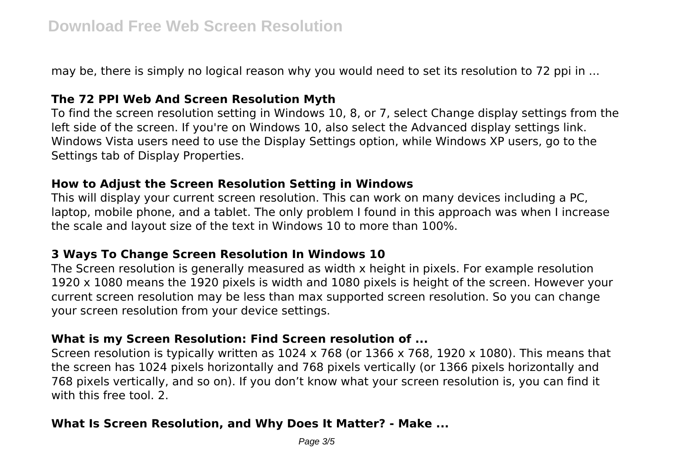may be, there is simply no logical reason why you would need to set its resolution to 72 ppi in ...

## **The 72 PPI Web And Screen Resolution Myth**

To find the screen resolution setting in Windows 10, 8, or 7, select Change display settings from the left side of the screen. If you're on Windows 10, also select the Advanced display settings link. Windows Vista users need to use the Display Settings option, while Windows XP users, go to the Settings tab of Display Properties.

#### **How to Adjust the Screen Resolution Setting in Windows**

This will display your current screen resolution. This can work on many devices including a PC, laptop, mobile phone, and a tablet. The only problem I found in this approach was when I increase the scale and layout size of the text in Windows 10 to more than 100%.

#### **3 Ways To Change Screen Resolution In Windows 10**

The Screen resolution is generally measured as width x height in pixels. For example resolution 1920 x 1080 means the 1920 pixels is width and 1080 pixels is height of the screen. However your current screen resolution may be less than max supported screen resolution. So you can change your screen resolution from your device settings.

#### **What is my Screen Resolution: Find Screen resolution of ...**

Screen resolution is typically written as 1024 x 768 (or 1366 x 768, 1920 x 1080). This means that the screen has 1024 pixels horizontally and 768 pixels vertically (or 1366 pixels horizontally and 768 pixels vertically, and so on). If you don't know what your screen resolution is, you can find it with this free tool. 2.

#### **What Is Screen Resolution, and Why Does It Matter? - Make ...**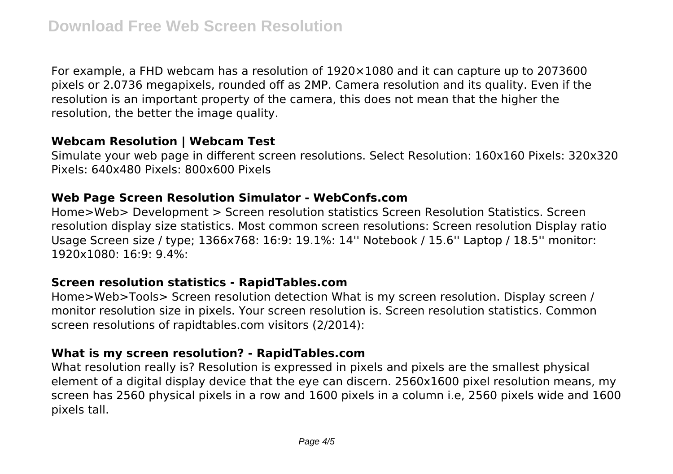For example, a FHD webcam has a resolution of 1920×1080 and it can capture up to 2073600 pixels or 2.0736 megapixels, rounded off as 2MP. Camera resolution and its quality. Even if the resolution is an important property of the camera, this does not mean that the higher the resolution, the better the image quality.

#### **Webcam Resolution | Webcam Test**

Simulate your web page in different screen resolutions. Select Resolution: 160x160 Pixels: 320x320 Pixels: 640x480 Pixels: 800x600 Pixels

#### **Web Page Screen Resolution Simulator - WebConfs.com**

Home>Web> Development > Screen resolution statistics Screen Resolution Statistics. Screen resolution display size statistics. Most common screen resolutions: Screen resolution Display ratio Usage Screen size / type; 1366x768: 16:9: 19.1%: 14'' Notebook / 15.6'' Laptop / 18.5'' monitor: 1920x1080: 16:9: 9.4%:

#### **Screen resolution statistics - RapidTables.com**

Home>Web>Tools> Screen resolution detection What is my screen resolution. Display screen / monitor resolution size in pixels. Your screen resolution is. Screen resolution statistics. Common screen resolutions of rapidtables.com visitors (2/2014):

## **What is my screen resolution? - RapidTables.com**

What resolution really is? Resolution is expressed in pixels and pixels are the smallest physical element of a digital display device that the eye can discern. 2560x1600 pixel resolution means, my screen has 2560 physical pixels in a row and 1600 pixels in a column i.e, 2560 pixels wide and 1600 pixels tall.